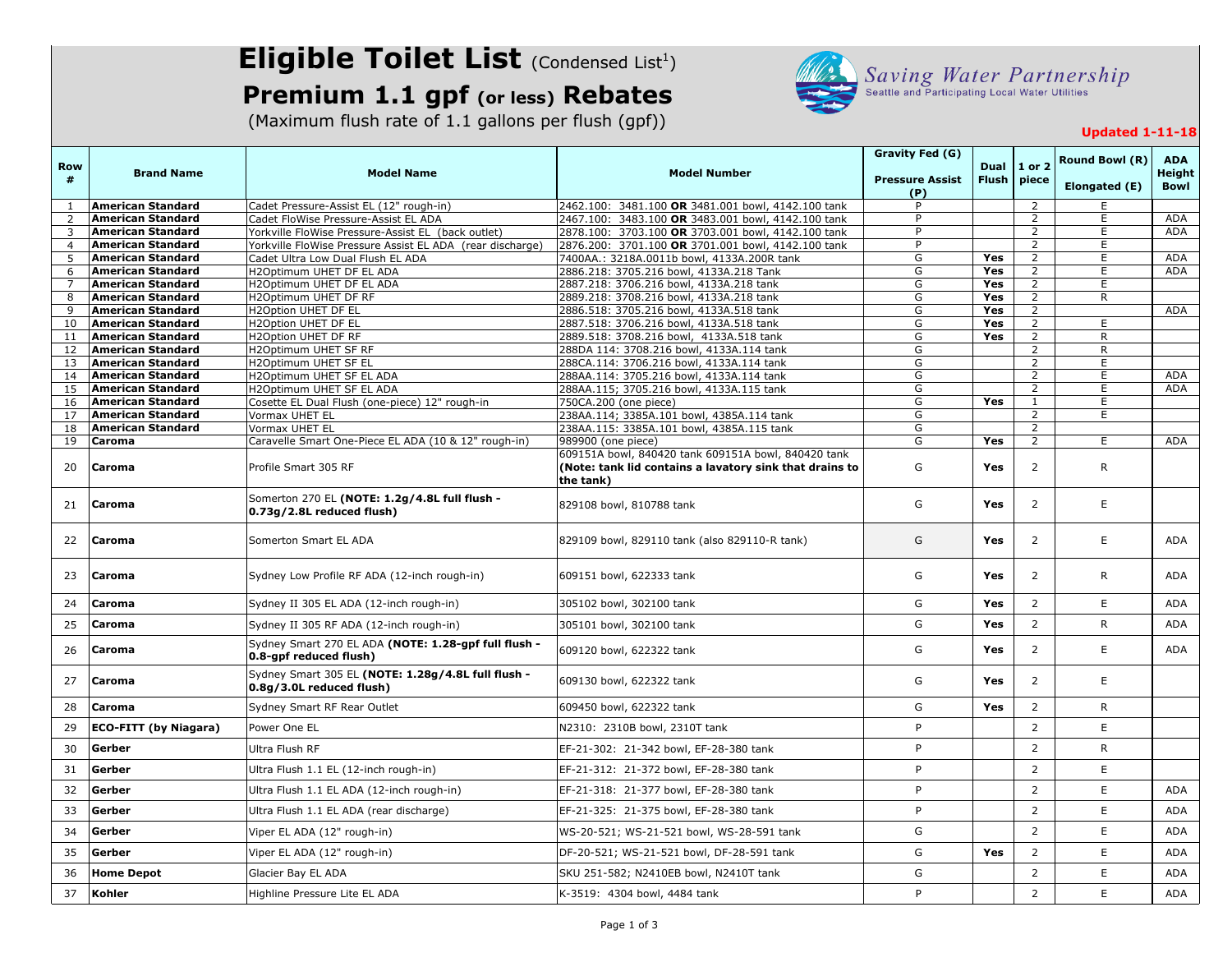## **Eligible Toilet List** (Condensed List<sup>1</sup>)

## **Premium 1.1 gpf (or less) Rebates**

(Maximum flush rate of 1.1 gallons per flush (gpf))



## **Updated 1-11-18**

| <b>Row</b><br>#     | <b>Brand Name</b>                                    | <b>Model Name</b>                                                                                               | <b>Model Number</b>                                                                                      | Gravity Fed (G)<br><b>Pressure Assist</b> | Dual<br><b>Flush</b> | 1 or 2<br>piece                  | <b>Round Bowl (R)</b> | <b>ADA</b><br><b>Height</b> |
|---------------------|------------------------------------------------------|-----------------------------------------------------------------------------------------------------------------|----------------------------------------------------------------------------------------------------------|-------------------------------------------|----------------------|----------------------------------|-----------------------|-----------------------------|
|                     |                                                      |                                                                                                                 |                                                                                                          | (P)                                       |                      |                                  | Elongated (E)         | Bowl                        |
| $\mathbf{1}$        | <b>American Standard</b>                             | Cadet Pressure-Assist EL (12" rough-in)                                                                         | 2462.100: 3481.100 OR 3481.001 bowl, 4142.100 tank                                                       | P                                         |                      | $\overline{2}$                   | E                     |                             |
| $\overline{2}$      | <b>American Standard</b>                             | Cadet FloWise Pressure-Assist EL ADA                                                                            | 2467.100: 3483.100 OR 3483.001 bowl, 4142.100 tank                                                       | P<br>P                                    |                      | $\overline{2}$<br>$\overline{2}$ | E                     | <b>ADA</b><br><b>ADA</b>    |
| 3<br>$\overline{4}$ | <b>American Standard</b><br><b>American Standard</b> | Yorkville FloWise Pressure-Assist EL (back outlet)<br>Yorkville FloWise Pressure Assist EL ADA (rear discharge) | 2878.100: 3703.100 OR 3703.001 bowl, 4142.100 tank<br>2876.200: 3701.100 OR 3701.001 bowl, 4142.100 tank | P                                         |                      | 2                                | E<br>E                |                             |
| 5                   | <b>American Standard</b>                             | Cadet Ultra Low Dual Flush EL ADA                                                                               | 7400AA.: 3218A.0011b bowl, 4133A.200R tank                                                               | G                                         | Yes                  | $\overline{2}$                   | E.                    | <b>ADA</b>                  |
| 6                   | <b>American Standard</b>                             | H2Optimum UHET DF EL ADA                                                                                        | 2886.218: 3705.216 bowl, 4133A.218 Tank                                                                  | G                                         | Yes                  | 2                                | E                     | <b>ADA</b>                  |
| $\overline{7}$      | <b>American Standard</b>                             | H2Optimum UHET DF EL ADA                                                                                        | 2887.218: 3706.216 bowl, 4133A.218 tank                                                                  | G                                         | Yes                  | 2                                | E                     |                             |
| 8                   | <b>American Standard</b>                             | H2Optimum UHET DF RF                                                                                            | 2889.218: 3708.216 bowl, 4133A.218 tank                                                                  | G                                         | Yes                  | $\overline{2}$                   | R.                    |                             |
| 9                   | <b>American Standard</b>                             | H2Option UHET DF EL                                                                                             | 2886.518: 3705.216 bowl, 4133A.518 tank                                                                  | G                                         | Yes                  | $\overline{2}$                   |                       | ADA                         |
| 10<br>11            | <b>American Standard</b><br><b>American Standard</b> | H2Option UHET DF EL<br>H2Option UHET DF RF                                                                      | 2887.518: 3706.216 bowl, 4133A.518 tank<br>2889.518: 3708.216 bowl, 4133A.518 tank                       | G<br>G                                    | Yes<br>Yes           | $\overline{2}$<br>$\overline{2}$ | E<br>R                |                             |
| 12                  | <b>American Standard</b>                             | H2Optimum UHET SF RF                                                                                            | 288DA 114: 3708.216 bowl, 4133A.114 tank                                                                 | G                                         |                      | $\overline{2}$                   | ${\sf R}$             |                             |
| 13                  | <b>American Standard</b>                             | H2Optimum UHET SF EL                                                                                            | 288CA.114: 3706.216 bowl, 4133A.114 tank                                                                 | G                                         |                      | $\overline{2}$                   | E                     |                             |
| 14                  | <b>American Standard</b>                             | H2Optimum UHET SF EL ADA                                                                                        | 288AA.114: 3705.216 bowl, 4133A.114 tank                                                                 | G                                         |                      | 2                                | E                     | ADA                         |
| 15                  | <b>American Standard</b>                             | H2Optimum UHET SF EL ADA                                                                                        | 288AA.115; 3705.216 bowl, 4133A.115 tank                                                                 | G                                         |                      | 2                                | E                     | ADA                         |
| 16                  | <b>American Standard</b>                             | Cosette EL Dual Flush (one-piece) 12" rough-in                                                                  | 750CA.200 (one piece)                                                                                    | G                                         | <b>Yes</b>           | $\mathbf{1}$                     | E                     |                             |
| 17                  | <b>American Standard</b>                             | Vormax UHET EL                                                                                                  | 238AA.114; 3385A.101 bowl, 4385A.114 tank                                                                | G                                         |                      | $\overline{2}$                   | E.                    |                             |
| 18<br>19            | <b>American Standard</b><br>Caroma                   | Vormax UHET EL                                                                                                  | 238AA.115: 3385A.101 bowl, 4385A.115 tank                                                                | G<br>G                                    | Yes                  | $\overline{2}$<br>$\overline{2}$ | E.                    | <b>ADA</b>                  |
|                     |                                                      | Caravelle Smart One-Piece EL ADA (10 & 12" rough-in)                                                            | 989900 (one piece)<br>609151A bowl, 840420 tank 609151A bowl, 840420 tank                                |                                           |                      |                                  |                       |                             |
| 20                  | Caroma                                               | Profile Smart 305 RF                                                                                            | (Note: tank lid contains a lavatory sink that drains to<br>the tank)                                     | G                                         | Yes                  | $\overline{2}$                   | R                     |                             |
| 21                  | Caroma                                               | Somerton 270 EL (NOTE: 1.2g/4.8L full flush -<br>0.73g/2.8L reduced flush)                                      | 829108 bowl, 810788 tank                                                                                 | G                                         | Yes                  | $\overline{2}$                   | E                     |                             |
| 22                  | Caroma                                               | Somerton Smart EL ADA                                                                                           | 829109 bowl, 829110 tank (also 829110-R tank)                                                            | G                                         | Yes                  | 2                                | E                     | ADA                         |
| 23                  | Caroma                                               | Sydney Low Profile RF ADA (12-inch rough-in)                                                                    | 609151 bowl, 622333 tank                                                                                 | G                                         | Yes                  | $\overline{2}$                   | R                     | <b>ADA</b>                  |
| 24                  | Caroma                                               | Sydney II 305 EL ADA (12-inch rough-in)                                                                         | 305102 bowl, 302100 tank                                                                                 | G                                         | Yes                  | $\overline{2}$                   | E                     | <b>ADA</b>                  |
| 25                  | Caroma                                               | Sydney II 305 RF ADA (12-inch rough-in)                                                                         | 305101 bowl, 302100 tank                                                                                 | G                                         | Yes                  | $\overline{2}$                   | $\mathsf{R}$          | <b>ADA</b>                  |
| 26                  | Caroma                                               | Sydney Smart 270 EL ADA (NOTE: 1.28-gpf full flush -<br>0.8-gpf reduced flush)                                  | 609120 bowl, 622322 tank                                                                                 | G                                         | Yes                  | $\overline{2}$                   | E                     | ADA                         |
| 27                  | Caroma                                               | Sydney Smart 305 EL (NOTE: 1.28g/4.8L full flush -<br>0.8g/3.0L reduced flush)                                  | 609130 bowl, 622322 tank                                                                                 | G                                         | Yes                  | $\overline{2}$                   | E                     |                             |
| 28                  | Caroma                                               | Sydney Smart RF Rear Outlet                                                                                     | 609450 bowl, 622322 tank                                                                                 | G                                         | Yes                  | $\overline{2}$                   | R                     |                             |
| 29                  | ECO-FITT (by Niagara)                                | Power One EL                                                                                                    | N2310: 2310B bowl, 2310T tank                                                                            | P                                         |                      | $\overline{2}$                   | E                     |                             |
| 30                  | Gerber                                               | Ultra Flush RF                                                                                                  | EF-21-302: 21-342 bowl, EF-28-380 tank                                                                   | P                                         |                      | $\overline{2}$                   | $\mathsf{R}$          |                             |
| 31                  | Gerber                                               | Ultra Flush 1.1 EL (12-inch rough-in)                                                                           | EF-21-312: 21-372 bowl, EF-28-380 tank                                                                   | P                                         |                      | $\overline{2}$                   | E                     |                             |
| 32                  | Gerber                                               | Ultra Flush 1.1 EL ADA (12-inch rough-in)                                                                       | EF-21-318: 21-377 bowl, EF-28-380 tank                                                                   | P                                         |                      | $\overline{2}$                   | E                     | ADA                         |
| 33                  | Gerber                                               | Ultra Flush 1.1 EL ADA (rear discharge)                                                                         | EF-21-325: 21-375 bowl, EF-28-380 tank                                                                   | P                                         |                      | $\overline{2}$                   | E                     | ADA                         |
| 34                  | Gerber                                               | Viper EL ADA (12" rough-in)                                                                                     | WS-20-521; WS-21-521 bowl, WS-28-591 tank                                                                | G                                         |                      | $\overline{2}$                   | E                     | ADA                         |
| 35                  | Gerber                                               | Viper EL ADA (12" rough-in)                                                                                     | DF-20-521; WS-21-521 bowl, DF-28-591 tank                                                                | G                                         | Yes                  | $\overline{2}$                   | E.                    | <b>ADA</b>                  |
| 36                  | <b>Home Depot</b>                                    | Glacier Bay EL ADA                                                                                              | SKU 251-582; N2410EB bowl, N2410T tank                                                                   | G                                         |                      | $\overline{2}$                   | E                     | ADA                         |
| 37                  | Kohler                                               | Highline Pressure Lite EL ADA                                                                                   | K-3519: 4304 bowl, 4484 tank                                                                             | P                                         |                      | $\overline{2}$                   | E                     | <b>ADA</b>                  |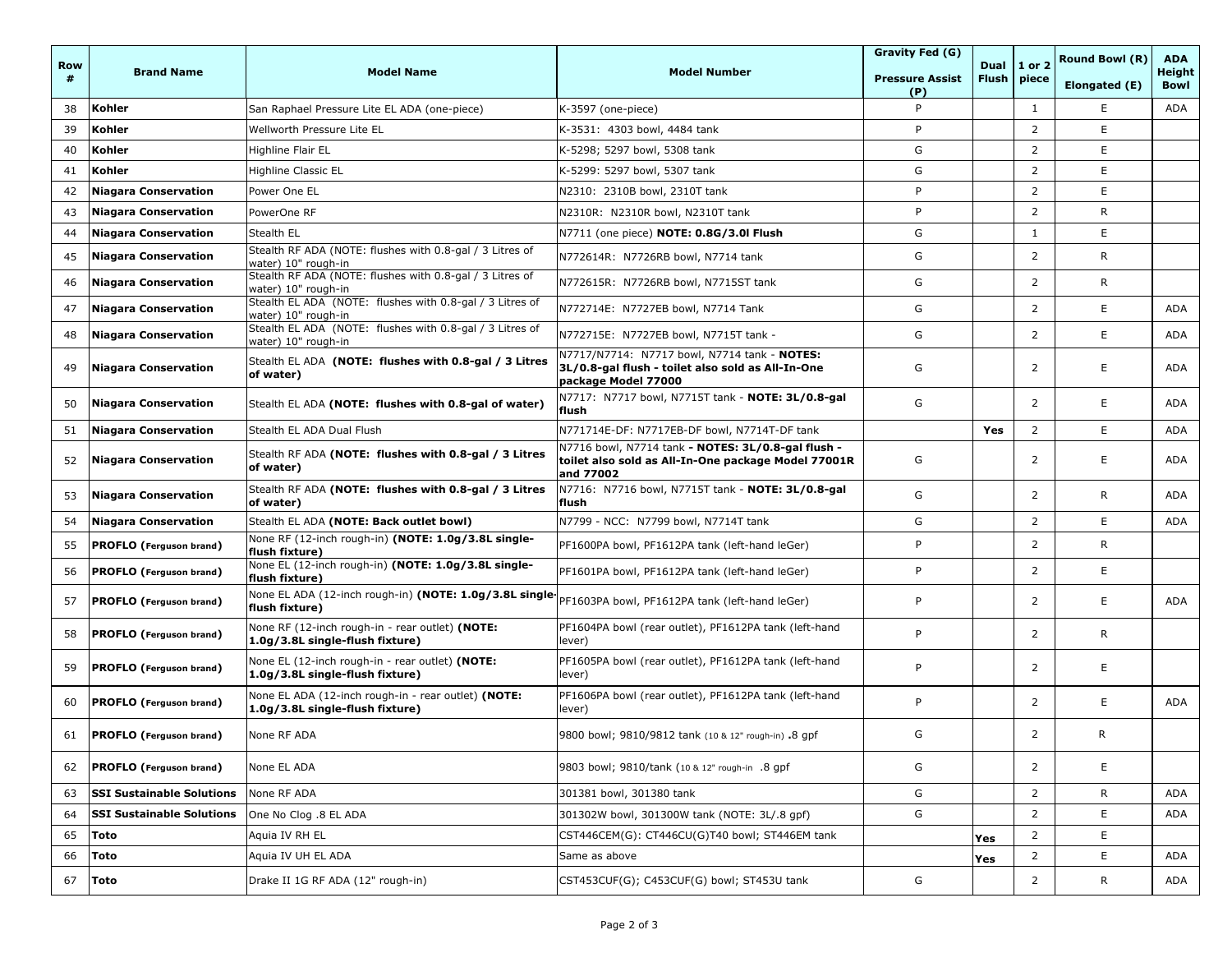| <b>Row</b><br># | <b>Brand Name</b>                | <b>Model Name</b>                                                                                                         | <b>Model Number</b>                                                                                                      | Gravity Fed (G)               | Dual   1 or 2<br><b>Flush</b> | piece          | Round Bowl (R) | <b>ADA</b>                   |
|-----------------|----------------------------------|---------------------------------------------------------------------------------------------------------------------------|--------------------------------------------------------------------------------------------------------------------------|-------------------------------|-------------------------------|----------------|----------------|------------------------------|
|                 |                                  |                                                                                                                           |                                                                                                                          | <b>Pressure Assist</b><br>(P) |                               |                | Elongated (E)  | <b>Height</b><br><b>Bowl</b> |
| 38              | Kohler                           | San Raphael Pressure Lite EL ADA (one-piece)                                                                              | K-3597 (one-piece)                                                                                                       | P                             |                               | $\mathbf{1}$   | E              | ADA                          |
| 39              | Kohler                           | Wellworth Pressure Lite EL                                                                                                | K-3531: 4303 bowl, 4484 tank                                                                                             | P                             |                               | $\overline{2}$ | E              |                              |
| 40              | Kohler                           | Highline Flair EL                                                                                                         | K-5298; 5297 bowl, 5308 tank                                                                                             | G                             |                               | $\overline{2}$ | E              |                              |
| 41              | Kohler                           | Highline Classic EL                                                                                                       | K-5299: 5297 bowl, 5307 tank                                                                                             | G                             |                               | $\overline{2}$ | E              |                              |
| 42              | <b>Niagara Conservation</b>      | Power One EL                                                                                                              | N2310: 2310B bowl, 2310T tank                                                                                            | P                             |                               | $\overline{2}$ | E              |                              |
| 43              | <b>Niagara Conservation</b>      | PowerOne RF                                                                                                               | N2310R: N2310R bowl, N2310T tank                                                                                         | P                             |                               | $\overline{2}$ | R.             |                              |
| 44              | <b>Niagara Conservation</b>      | Stealth EL                                                                                                                | N7711 (one piece) NOTE: 0.8G/3.0l Flush                                                                                  | G                             |                               | $\mathbf{1}$   | E              |                              |
| 45              | <b>Niagara Conservation</b>      | Stealth RF ADA (NOTE: flushes with 0.8-gal / 3 Litres of<br>water) 10" rough-in                                           | N772614R: N7726RB bowl, N7714 tank                                                                                       | G                             |                               | $\overline{2}$ | R.             |                              |
| 46              | <b>Niagara Conservation</b>      | Stealth RF ADA (NOTE: flushes with 0.8-gal / 3 Litres of<br>water) 10" rough-in                                           | N772615R: N7726RB bowl, N7715ST tank                                                                                     | G                             |                               | $\overline{2}$ | R              |                              |
| 47              | <b>Niagara Conservation</b>      | Stealth EL ADA (NOTE: flushes with 0.8-gal / 3 Litres of<br>water) 10" rough-in                                           | N772714E: N7727EB bowl, N7714 Tank                                                                                       | G                             |                               | 2              | E              | ADA                          |
| 48              | <b>Niagara Conservation</b>      | Stealth EL ADA (NOTE: flushes with 0.8-gal / 3 Litres of<br>water) 10" rough-in                                           | N772715E: N7727EB bowl, N7715T tank -                                                                                    | G                             |                               | $\overline{2}$ | E              | ADA                          |
| 49              | <b>Niagara Conservation</b>      | Stealth EL ADA (NOTE: flushes with 0.8-gal / 3 Litres<br>of water)                                                        | N7717/N7714: N7717 bowl, N7714 tank - NOTES:<br>3L/0.8-gal flush - toilet also sold as All-In-One<br>package Model 77000 | G                             |                               | 2              | Е              | ADA                          |
| 50              | <b>Niagara Conservation</b>      | Stealth EL ADA (NOTE: flushes with 0.8-gal of water)                                                                      | N7717: N7717 bowl, N7715T tank - NOTE: 3L/0.8-gal<br>flush                                                               | G                             |                               | $\overline{2}$ | E              | ADA                          |
| 51              | <b>Niagara Conservation</b>      | Stealth EL ADA Dual Flush                                                                                                 | N771714E-DF: N7717EB-DF bowl, N7714T-DF tank                                                                             |                               | Yes                           | $\overline{2}$ | E              | ADA                          |
| 52              | <b>Niagara Conservation</b>      | Stealth RF ADA (NOTE: flushes with 0.8-gal / 3 Litres<br>of water)                                                        | N7716 bowl, N7714 tank - NOTES: 3L/0.8-gal flush -<br>toilet also sold as All-In-One package Model 77001R<br>and 77002   | G                             |                               | 2              | E              | ADA                          |
| 53              | <b>Niagara Conservation</b>      | Stealth RF ADA (NOTE: flushes with 0.8-gal / 3 Litres<br>of water)                                                        | N7716: N7716 bowl, N7715T tank - NOTE: 3L/0.8-gal<br>flush                                                               | G                             |                               | $\overline{2}$ | R              | ADA                          |
| 54              | <b>Niagara Conservation</b>      | Stealth EL ADA (NOTE: Back outlet bowl)                                                                                   | N7799 - NCC: N7799 bowl, N7714T tank                                                                                     | G                             |                               | $\overline{2}$ | E.             | ADA                          |
| 55              | <b>PROFLO</b> (Ferguson brand)   | None RF (12-inch rough-in) (NOTE: 1.0g/3.8L single-<br>flush fixture)                                                     | PF1600PA bowl, PF1612PA tank (left-hand leGer)                                                                           | P                             |                               | $\overline{2}$ | R.             |                              |
| 56              | <b>PROFLO</b> (Ferguson brand)   | None EL (12-inch rough-in) (NOTE: 1.0g/3.8L single-<br>flush fixture)                                                     | PF1601PA bowl, PF1612PA tank (left-hand leGer)                                                                           | P                             |                               | $\overline{2}$ | E              |                              |
| 57              | <b>PROFLO</b> (Ferguson brand)   | None EL ADA (12-inch rough-in) (NOTE: 1.0g/3.8L single   pF1603PA bowl, PF1612PA tank (left-hand leGer)<br>flush fixture) |                                                                                                                          | P                             |                               | $\overline{2}$ | E              | ADA                          |
| 58              | <b>PROFLO</b> (Ferguson brand)   | None RF (12-inch rough-in - rear outlet) (NOTE:<br>1.0g/3.8L single-flush fixture)                                        | PF1604PA bowl (rear outlet), PF1612PA tank (left-hand<br>lever)                                                          | P                             |                               | 2              | R              |                              |
| 59              | <b>PROFLO</b> (Ferguson brand)   | None EL (12-inch rough-in - rear outlet) (NOTE:<br>1.0g/3.8L single-flush fixture)                                        | PF1605PA bowl (rear outlet), PF1612PA tank (left-hand<br>lever)                                                          | P                             |                               | 2              | E              |                              |
| 60              | <b>PROFLO</b> (Ferguson brand)   | None EL ADA (12-inch rough-in - rear outlet) (NOTE:<br>1.0g/3.8L single-flush fixture)                                    | PF1606PA bowl (rear outlet), PF1612PA tank (left-hand<br>lever)                                                          | P                             |                               | $\overline{2}$ | E              | ADA                          |
| 61              | <b>PROFLO</b> (Ferguson brand)   | None RF ADA                                                                                                               | 9800 bowl; 9810/9812 tank (10 & 12" rough-in) .8 gpf                                                                     | G                             |                               | 2              | R              |                              |
| 62              | <b>PROFLO</b> (Ferguson brand)   | None EL ADA                                                                                                               | 9803 bowl; 9810/tank (10 & 12" rough-in .8 gpf                                                                           | G                             |                               | $\overline{2}$ | Ε              |                              |
| 63              | <b>SSI Sustainable Solutions</b> | None RF ADA                                                                                                               | 301381 bowl, 301380 tank                                                                                                 | G                             |                               | $\overline{2}$ | R              | ADA                          |
| 64              | <b>SSI Sustainable Solutions</b> | One No Clog .8 EL ADA                                                                                                     | 301302W bowl, 301300W tank (NOTE: 3L/.8 gpf)                                                                             | G                             |                               | $\overline{2}$ | Ε              | ADA                          |
| 65              | Toto                             | Aquia IV RH EL                                                                                                            | CST446CEM(G): CT446CU(G)T40 bowl; ST446EM tank                                                                           |                               | Yes                           | $\overline{2}$ | E              |                              |
| 66              | Toto                             | Aquia IV UH EL ADA                                                                                                        | Same as above                                                                                                            |                               | Yes                           | $\overline{2}$ | Е              | ADA                          |
| 67              | Toto                             | Drake II 1G RF ADA (12" rough-in)                                                                                         | CST453CUF(G); C453CUF(G) bowl; ST453U tank                                                                               | G                             |                               | $\overline{2}$ | R              | ADA                          |